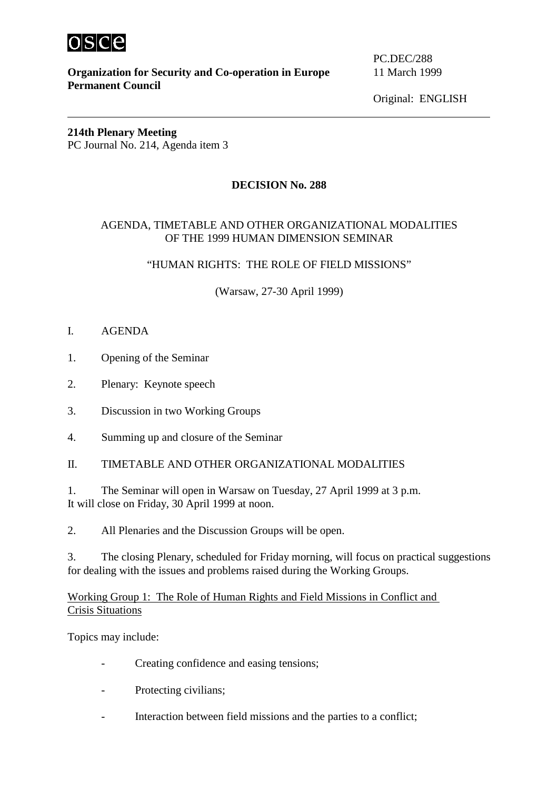

**Organization for Security and Co-operation in Europe** 11 March 1999 **Permanent Council**

PC.DEC/288

Original: ENGLISH

#### **214th Plenary Meeting**  PC Journal No. 214, Agenda item 3

## **DECISION No. 288**

#### AGENDA, TIMETABLE AND OTHER ORGANIZATIONAL MODALITIES OF THE 1999 HUMAN DIMENSION SEMINAR

#### "HUMAN RIGHTS: THE ROLE OF FIELD MISSIONS"

(Warsaw, 27-30 April 1999)

- I. AGENDA
- 1. Opening of the Seminar
- 2. Plenary: Keynote speech
- 3. Discussion in two Working Groups
- 4. Summing up and closure of the Seminar

II. TIMETABLE AND OTHER ORGANIZATIONAL MODALITIES

1. The Seminar will open in Warsaw on Tuesday, 27 April 1999 at 3 p.m. It will close on Friday, 30 April 1999 at noon.

2. All Plenaries and the Discussion Groups will be open.

3. The closing Plenary, scheduled for Friday morning, will focus on practical suggestions for dealing with the issues and problems raised during the Working Groups.

Working Group 1: The Role of Human Rights and Field Missions in Conflict and Crisis Situations

Topics may include:

- Creating confidence and easing tensions:
- Protecting civilians;
- Interaction between field missions and the parties to a conflict;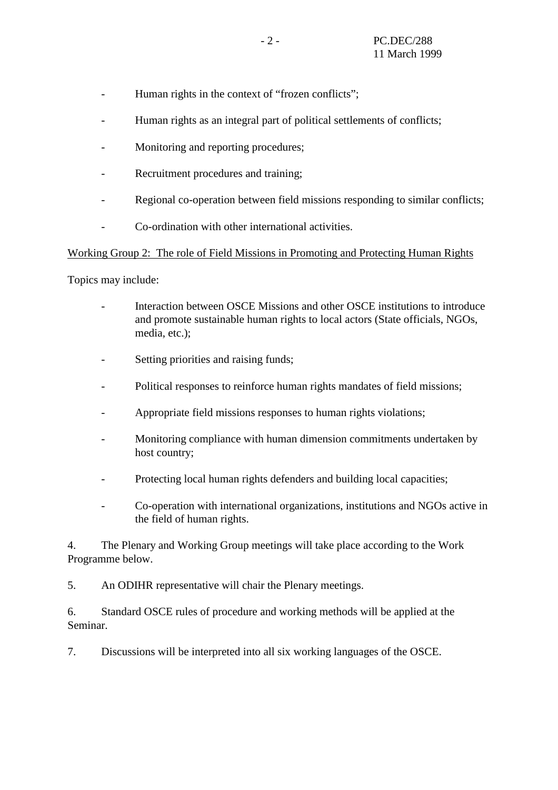- Human rights in the context of "frozen conflicts";
- Human rights as an integral part of political settlements of conflicts:
- Monitoring and reporting procedures;
- Recruitment procedures and training;
- Regional co-operation between field missions responding to similar conflicts;
- Co-ordination with other international activities.

#### Working Group 2: The role of Field Missions in Promoting and Protecting Human Rights

Topics may include:

- Interaction between OSCE Missions and other OSCE institutions to introduce and promote sustainable human rights to local actors (State officials, NGOs, media, etc.);
- Setting priorities and raising funds;
- Political responses to reinforce human rights mandates of field missions;
- Appropriate field missions responses to human rights violations;
- Monitoring compliance with human dimension commitments undertaken by host country;
- Protecting local human rights defenders and building local capacities;
- Co-operation with international organizations, institutions and NGOs active in the field of human rights.

4. The Plenary and Working Group meetings will take place according to the Work Programme below.

5. An ODIHR representative will chair the Plenary meetings.

6. Standard OSCE rules of procedure and working methods will be applied at the Seminar.

7. Discussions will be interpreted into all six working languages of the OSCE.